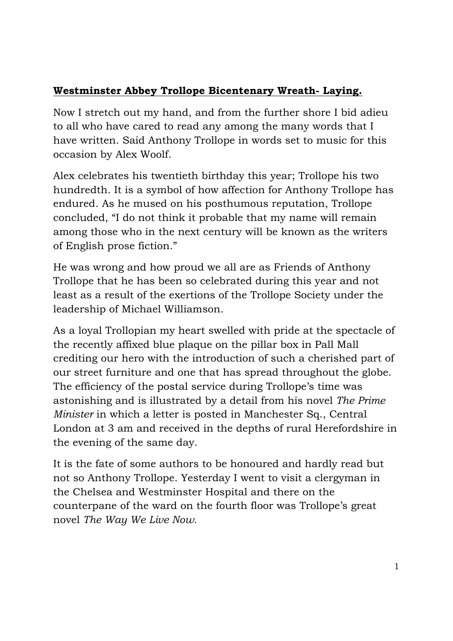## **Westminster Abbey Trollope Bicentenary Wreath- Laying.**

Now I stretch out my hand, and from the further shore I bid adieu to all who have cared to read any among the many words that I have written. Said Anthony Trollope in words set to music for this occasion by Alex Woolf.

Alex celebrates his twentieth birthday this year; Trollope his two hundredth. It is a symbol of how affection for Anthony Trollope has endured. As he mused on his posthumous reputation, Trollope concluded, "I do not think it probable that my name will remain among those who in the next century will be known as the writers of English prose fiction."

He was wrong and how proud we all are as Friends of Anthony Trollope that he has been so celebrated during this year and not least as a result of the exertions of the Trollope Society under the leadership of Michael Williamson.

As a loyal Trollopian my heart swelled with pride at the spectacle of the recently affixed blue plaque on the pillar box in Pall Mall crediting our hero with the introduction of such a cherished part of our street furniture and one that has spread throughout the globe. The efficiency of the postal service during Trollope's time was astonishing and is illustrated by a detail from his novel *The Prime Minister* in which a letter is posted in Manchester Sq., Central London at 3 am and received in the depths of rural Herefordshire in the evening of the same day.

It is the fate of some authors to be honoured and hardly read but not so Anthony Trollope. Yesterday I went to visit a clergyman in the Chelsea and Westminster Hospital and there on the counterpane of the ward on the fourth floor was Trollope's great novel *The Way We Live Now.*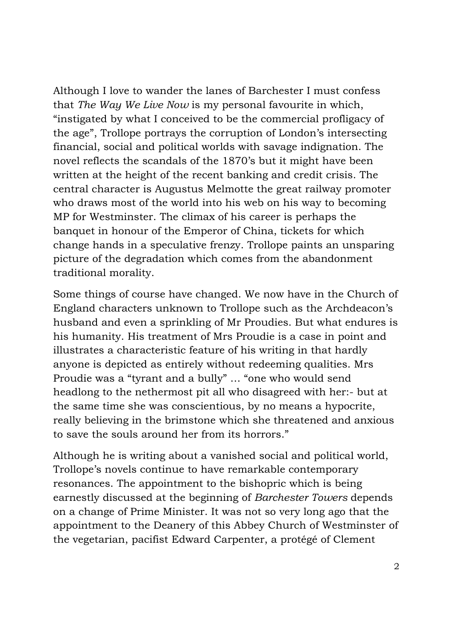Although I love to wander the lanes of Barchester I must confess that *The Way We Live Now* is my personal favourite in which, "instigated by what I conceived to be the commercial profligacy of the age", Trollope portrays the corruption of London's intersecting financial, social and political worlds with savage indignation. The novel reflects the scandals of the 1870's but it might have been written at the height of the recent banking and credit crisis. The central character is Augustus Melmotte the great railway promoter who draws most of the world into his web on his way to becoming MP for Westminster. The climax of his career is perhaps the banquet in honour of the Emperor of China, tickets for which change hands in a speculative frenzy. Trollope paints an unsparing picture of the degradation which comes from the abandonment traditional morality.

Some things of course have changed. We now have in the Church of England characters unknown to Trollope such as the Archdeacon's husband and even a sprinkling of Mr Proudies. But what endures is his humanity. His treatment of Mrs Proudie is a case in point and illustrates a characteristic feature of his writing in that hardly anyone is depicted as entirely without redeeming qualities. Mrs Proudie was a "tyrant and a bully" … "one who would send headlong to the nethermost pit all who disagreed with her:- but at the same time she was conscientious, by no means a hypocrite, really believing in the brimstone which she threatened and anxious to save the souls around her from its horrors."

Although he is writing about a vanished social and political world, Trollope's novels continue to have remarkable contemporary resonances. The appointment to the bishopric which is being earnestly discussed at the beginning of *Barchester Towers* depends on a change of Prime Minister. It was not so very long ago that the appointment to the Deanery of this Abbey Church of Westminster of the vegetarian, pacifist Edward Carpenter, a protégé of Clement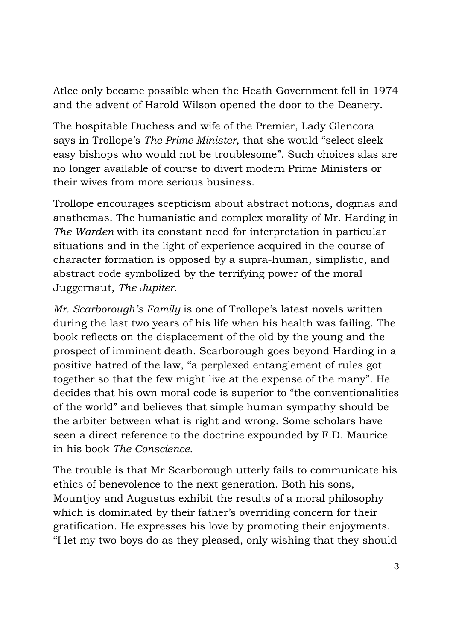Atlee only became possible when the Heath Government fell in 1974 and the advent of Harold Wilson opened the door to the Deanery.

The hospitable Duchess and wife of the Premier, Lady Glencora says in Trollope's *The Prime Minister*, that she would "select sleek easy bishops who would not be troublesome". Such choices alas are no longer available of course to divert modern Prime Ministers or their wives from more serious business.

Trollope encourages scepticism about abstract notions, dogmas and anathemas. The humanistic and complex morality of Mr. Harding in *The Warden* with its constant need for interpretation in particular situations and in the light of experience acquired in the course of character formation is opposed by a supra-human, simplistic, and abstract code symbolized by the terrifying power of the moral Juggernaut, *The Jupiter.* 

*Mr. Scarborough's Family* is one of Trollope's latest novels written during the last two years of his life when his health was failing. The book reflects on the displacement of the old by the young and the prospect of imminent death. Scarborough goes beyond Harding in a positive hatred of the law, "a perplexed entanglement of rules got together so that the few might live at the expense of the many". He decides that his own moral code is superior to "the conventionalities of the world" and believes that simple human sympathy should be the arbiter between what is right and wrong. Some scholars have seen a direct reference to the doctrine expounded by F.D. Maurice in his book *The Conscience*.

The trouble is that Mr Scarborough utterly fails to communicate his ethics of benevolence to the next generation. Both his sons, Mountjoy and Augustus exhibit the results of a moral philosophy which is dominated by their father's overriding concern for their gratification. He expresses his love by promoting their enjoyments. "I let my two boys do as they pleased, only wishing that they should